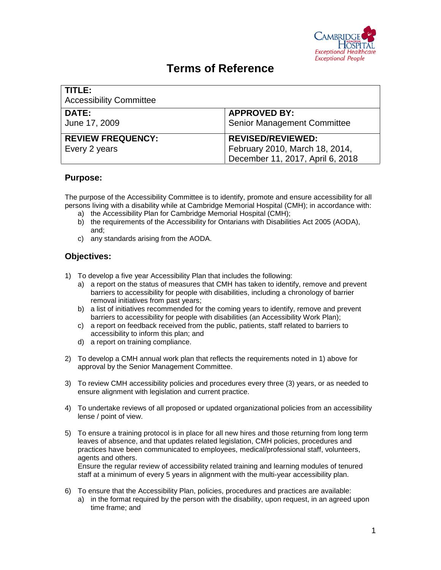

# **Terms of Reference**

| l TITLE:<br><b>Accessibility Committee</b> |                                                                                                |
|--------------------------------------------|------------------------------------------------------------------------------------------------|
| DATE:<br>June 17, 2009                     | <b>APPROVED BY:</b><br><b>Senior Management Committee</b>                                      |
| <b>REVIEW FREQUENCY:</b><br>Every 2 years  | <b>REVISED/REVIEWED:</b><br>February 2010, March 18, 2014,<br>December 11, 2017, April 6, 2018 |

# **Purpose:**

The purpose of the Accessibility Committee is to identify, promote and ensure accessibility for all persons living with a disability while at Cambridge Memorial Hospital (CMH); in accordance with:

- a) the Accessibility Plan for Cambridge Memorial Hospital (CMH);
- b) the requirements of the Accessibility for Ontarians with Disabilities Act 2005 (AODA), and;
- c) any standards arising from the AODA.

# **Objectives:**

- 1) To develop a five year Accessibility Plan that includes the following:
	- a) a report on the status of measures that CMH has taken to identify, remove and prevent barriers to accessibility for people with disabilities, including a chronology of barrier removal initiatives from past years;
	- b) a list of initiatives recommended for the coming years to identify, remove and prevent barriers to accessibility for people with disabilities (an Accessibility Work Plan);
	- c) a report on feedback received from the public, patients, staff related to barriers to accessibility to inform this plan; and
	- d) a report on training compliance.
- 2) To develop a CMH annual work plan that reflects the requirements noted in 1) above for approval by the Senior Management Committee.
- 3) To review CMH accessibility policies and procedures every three (3) years, or as needed to ensure alignment with legislation and current practice.
- 4) To undertake reviews of all proposed or updated organizational policies from an accessibility lense / point of view.
- 5) To ensure a training protocol is in place for all new hires and those returning from long term leaves of absence, and that updates related legislation, CMH policies, procedures and practices have been communicated to employees, medical/professional staff, volunteers, agents and others. Ensure the regular review of accessibility related training and learning modules of tenured

staff at a minimum of every 5 years in alignment with the multi-year accessibility plan.

- 6) To ensure that the Accessibility Plan, policies, procedures and practices are available:
	- a) in the format required by the person with the disability, upon request, in an agreed upon time frame; and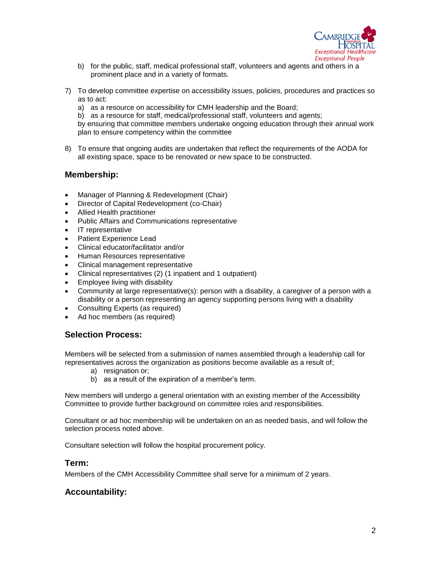

- b) for the public, staff, medical professional staff, volunteers and agents and others in a prominent place and in a variety of formats.
- 7) To develop committee expertise on accessibility issues, policies, procedures and practices so as to act:
	- a) as a resource on accessibility for CMH leadership and the Board;

b) as a resource for staff, medical/professional staff, volunteers and agents;

by ensuring that committee members undertake ongoing education through their annual work plan to ensure competency within the committee

8) To ensure that ongoing audits are undertaken that reflect the requirements of the AODA for all existing space, space to be renovated or new space to be constructed.

### **Membership:**

- Manager of Planning & Redevelopment (Chair)
- Director of Capital Redevelopment (co-Chair)
- Allied Health practitioner
- Public Affairs and Communications representative
- IT representative
- Patient Experience Lead
- Clinical educator/facilitator and/or
- Human Resources representative
- Clinical management representative
- Clinical representatives (2) (1 inpatient and 1 outpatient)
- Employee living with disability
- Community at large representative(s): person with a disability, a caregiver of a person with a disability or a person representing an agency supporting persons living with a disability
- Consulting Experts (as required)
- Ad hoc members (as required)

#### **Selection Process:**

Members will be selected from a submission of names assembled through a leadership call for representatives across the organization as positions become available as a result of;

- a) resignation or;
- b) as a result of the expiration of a member's term.

New members will undergo a general orientation with an existing member of the Accessibility Committee to provide further background on committee roles and responsibilities.

Consultant or ad hoc membership will be undertaken on an as needed basis, and will follow the selection process noted above.

Consultant selection will follow the hospital procurement policy.

#### **Term:**

Members of the CMH Accessibility Committee shall serve for a minimum of 2 years.

## **Accountability:**